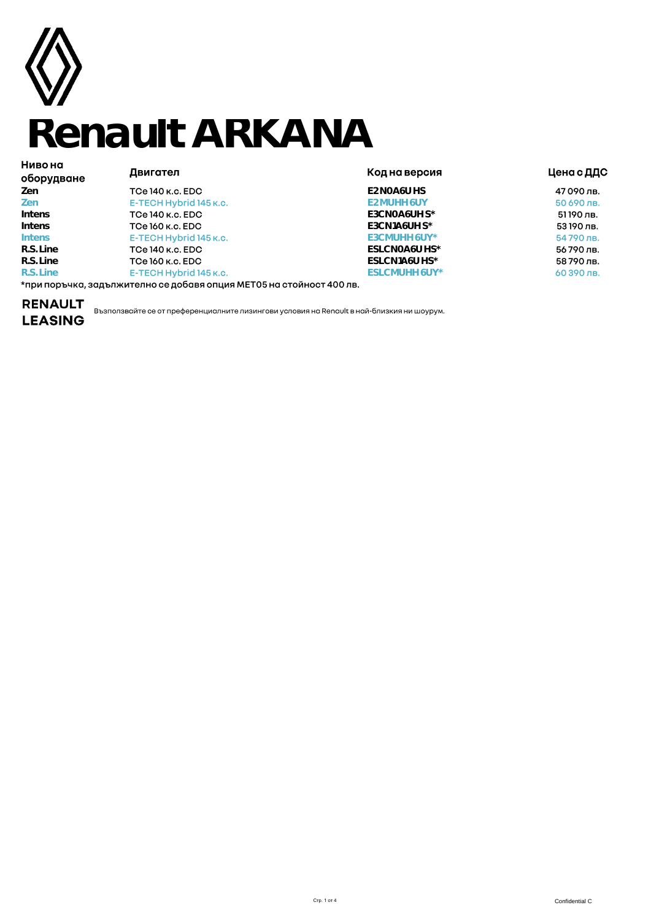

# **Renault ARKANA**

| пиво на<br>оборудване | Двигател                                                             | Код на версия           | Цена с ДДС |  |
|-----------------------|----------------------------------------------------------------------|-------------------------|------------|--|
| Zen                   | TCe 140 k.c. EDC                                                     | E <sub>2</sub> NOA6U HS | 47090лв.   |  |
| Zen                   | E-TECH Hybrid 145 k.c.                                               | E2 MUHH 6UY             | 50 690 лв. |  |
| Intens                | TCe 140 k.c. EDC                                                     | E3CNOA6UH S*            | 51190 лв.  |  |
| Intens                | TCe 160 к.с. EDC                                                     | E3CN1A6UH $S^*$         | 53190 лв.  |  |
| <b>Intens</b>         | E-TECH Hybrid 145 k.c.                                               | E3CMUHH 6UY*            | 54790лв.   |  |
| R.S. Line             | TCe 140 k.c. EDC                                                     | ESLCNOA6U HS*           | 56790лв.   |  |
| R.S. Line             | TCe 160 к.с. EDC                                                     | ESLCN1A6U HS*           | 58790лв.   |  |
| R.S. Line             | E-TECH Hybrid 145 k.c.                                               | ESLCMUHH 6UY*           | 60 390 лв. |  |
|                       | *при поръчка, залължително се лобавя опшия МЕТО5 на стойност 400 лв. |                         |            |  |

\*при поръчка, задължително се добавя опция МЕТ05 на стойност 400

# **LEASING**

RENAULT<br>LEASING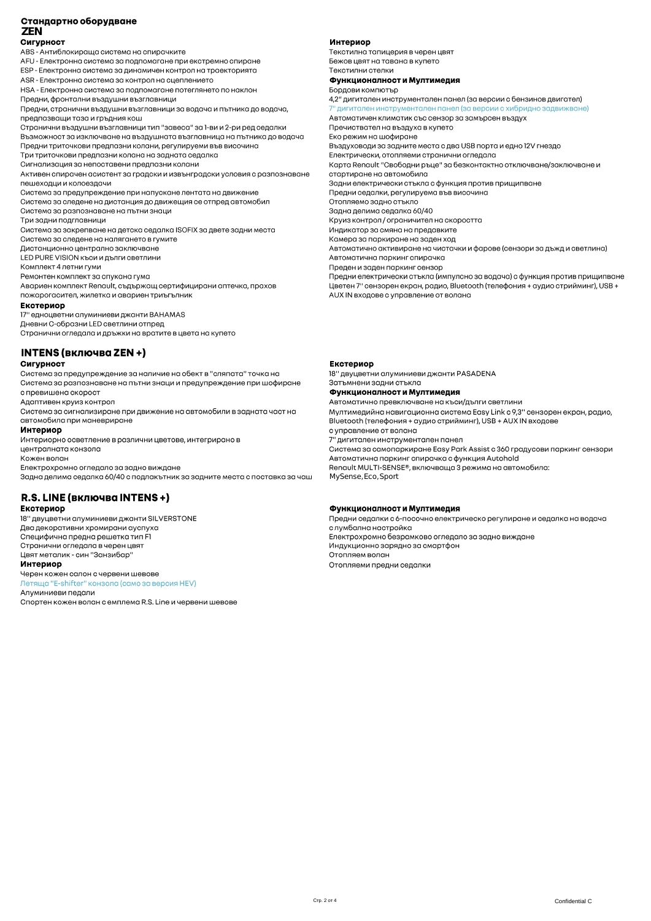### Стандартно оборудване

**ZEN** 

Сигурност

ABS - Антиблокираща система на спирачките

AFU - Електронна система за подпомагане при екстремно спиране

ESP - Електронна система за динамичен контрол на траекторията

ASR - Електронна система за контрол на сцеплението

НSA - Електронна система за подпомагане потеглянето по наклон Предни, фронтални въздушни възглавници

Предни, странични въздушни възглавници за водача и пътника до водача, предпазвации таза и гръдния кош

...<br>Странични въздушни възглавници тип "завеса" за 1-ви и 2-ри ред седалки

Възможност за изключване на въздушната възглавница на пътника до водача Предни триточкови предпазни колани, регулируеми във височина

Три триточкови предпазни колана на задната седалка

Сигнализация за непоставени предпазни колани

Активен спирачен асистент за градски и извънградски условия с разпознаване пешеходци и колоездачи

Система за предупреждение при напускане лентата на движение

Система за следене на дистанция до движещия се отпред автомобил

Система за разпознаване на пътни знаци Три задни подглавници

Система за закрепване на детска седалка ISOFIX за двете задни места

Система за следене на налягането в гумите

Дистанционно централно заключване

.<br>LED PURE VISION къси и дълги светлини

Комплект 4 летни гуми

Ремонтен комплект за спукана гума

Aвариен комплект Renault, съдържащ сертифицирани аптечка, прахов пожарогасител, жилетка и авариен триъгълник

#### Екстериор

17" едноцветни алуминиеви джанти BAHAMAS

Лневни С-образни I ED светлини отпрел Странични огледала и дръжки на вратите в цвета на купето

**INTENS (включва ZEN +)** 

#### Сигурност

Система за предупреждение за наличие на обект в "сляпата" точка на Система за разпознаване на пътни знаци и предупреждение при шофиране с превишена скорост

Адаптивен круиз контрол

Система за сигнализиране при движение на автомобили в задната част на автомобила при маневриране

#### Интериор

Интериорно осветление в различни цветове, интегрирано в централната конзола

Кожен волан Електрохромно огледало за задно виждане

Задна делима седалка 60/40 с подлакътник за задните места с поставка за чаш

## R.S. LINE (включва INTENS +)

Екстериор 18" двуцветни алуминиеви джанти SILVERSTONE Два декоративни хромирани ауспуха Специфична предна решетка тип F1 Странични огледала в черен цвят

Цвят металик - син "Занзибар"

#### Интериор

Черен кожен салон с червени шевове Летяща "E-shifter" конзола (само за версия HEV) Алуминиеви педали

Спортен кожен волан с емплема R.S. Line и червени шевове

#### Интериор

Текстилна тапицерия в черен цвят Бежов цвят на тавана в купето Текстилни стелки Функционалност и Мултимедия

Бордови компютър

4,2" дигитален инструментален панел (за версии с бензинов двигател) .<br>7" дигитален инструментален панел (за версии с хибридно задвижване) Автоматичен климатик със сензор за замърсен въздух Пречиствател на въздуха в купето Еко режим на шофиране Въздуховоди за задните места с два USB порта и едно 12V гнездо Електрически, отопляеми странични огледала Карта Renault "Свободни ръце" за безконтактно отключване/заключване и стартиране на автомобила Задни електрически стъкла с функция против прищипване Предни седалки, регулируема във височина Отопляемо задно стъкло Задна делима седалка 60/40 Круиз контрол / ограничител на скоростта Индикатор за смяна на предавките Камера за паркиране на заден ход Автоматично активиране на чистачки и фарове (сензори за дъжд и светлина) Автоматична паркинг спирачка Преден и заден паркинг сензор Предни електрически стъкла (импулсно за водача) с функция против прищипване

Цветен 7" сензорен екран, радио, Bluetooth (телефония + аудио стрийминг), USB + AUX IN входове с управление от волана

#### Екстериор

18" двуцветни алуминиеви джанти PASADENA Затъмнени зални стъкла

#### Функционалност и Мултимедия

Автоматично превключване на къси/дълги светлини

Мултимедийна навигационна система Easy Link с 9,3" сензорен екран, радио, Bluetooth (телефония + аудио стрийминг), USB + AUX IN входове

с управление от волана

7" дигитален инструментален панел

Система за самопаркиране Easy Park Assist с 360 градусови паркинг сензори Автоматична паркинг спирачка с функция Autohold

Renault MULTI-SENSE®, включваща 3 режима на автомобила:

MySense, Eco, Sport

#### Функционалност и Мултимедия

Предни седалки с 6-посочно електрическо регулиране и седалка на водача с лумбална настройка Електрохромно безрамково огледало за задно виждане Индукционно зарядно за смартфон Отопляем волан Отопляеми предни седалки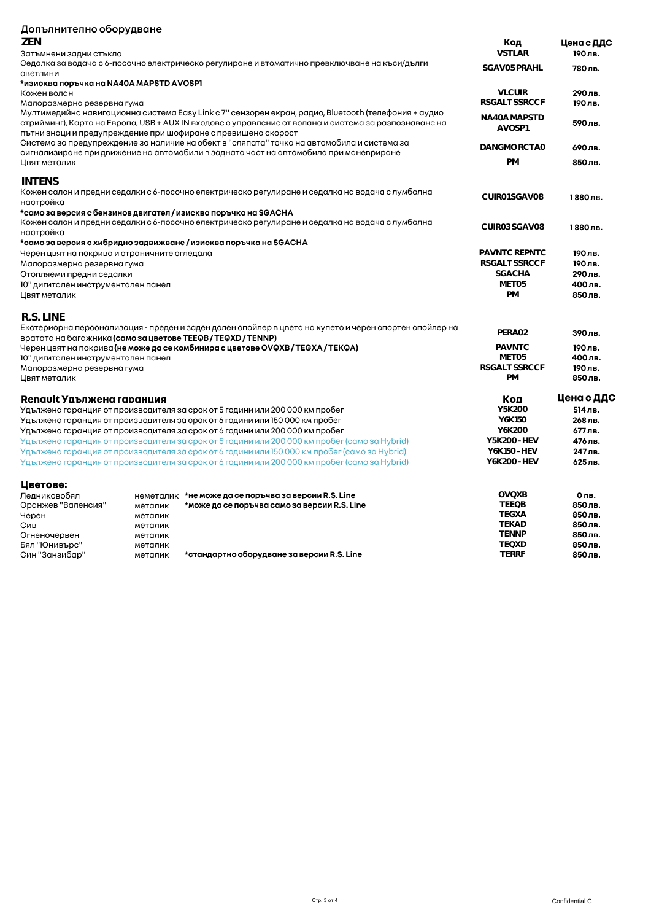| Допълнително оборудване                                                                                       |                                                                                                 |                                                                                                                                                                                                |                                       |                    |
|---------------------------------------------------------------------------------------------------------------|-------------------------------------------------------------------------------------------------|------------------------------------------------------------------------------------------------------------------------------------------------------------------------------------------------|---------------------------------------|--------------------|
| ZEN                                                                                                           |                                                                                                 |                                                                                                                                                                                                | Код                                   | Цена с ДДС         |
| Затъмнени задни стъкла                                                                                        |                                                                                                 |                                                                                                                                                                                                |                                       | 190 лв.            |
| Седалка за водача с 6-посочно електрическо регулиране и втоматично превключване на къси/дълги<br>SGAV05 PRAHL |                                                                                                 |                                                                                                                                                                                                |                                       | 780лв.             |
| светлини                                                                                                      |                                                                                                 |                                                                                                                                                                                                |                                       |                    |
| *изисква поръчка на NA40A MAPSTD AVOSP1                                                                       |                                                                                                 |                                                                                                                                                                                                |                                       |                    |
| Кожен волан                                                                                                   |                                                                                                 |                                                                                                                                                                                                | <b>VLCUIR</b><br><b>RSGALT SSRCCF</b> | 290 лв.            |
| Малоразмерна резервна гума                                                                                    |                                                                                                 | Мултимедийна навигационна система Easy Link с 7" сензорен екран, радио, Bluetooth (телефония + аудио                                                                                           |                                       | 190 лв.            |
|                                                                                                               |                                                                                                 | стрийминг), Карта на Европа, USB + AUX IN входове с управление от волана и система за разпознаване на                                                                                          | NA40A MAPSTD                          | 590лв.             |
|                                                                                                               |                                                                                                 | пътни знаци и предупреждение при шофиране с превишена скорост                                                                                                                                  | AVOSP1                                |                    |
|                                                                                                               |                                                                                                 | Система за предупреждение за наличие на обект в "сляпата" точка на автомобила и система за                                                                                                     |                                       |                    |
|                                                                                                               |                                                                                                 | сигнализиране при движение на автомобили в задната част на автомобила при маневриране                                                                                                          | DANGMORCTAO                           | 690 лв.            |
| Цвят металик                                                                                                  |                                                                                                 |                                                                                                                                                                                                | <b>PM</b>                             | 850 лв.            |
|                                                                                                               |                                                                                                 |                                                                                                                                                                                                |                                       |                    |
| INTENS                                                                                                        |                                                                                                 |                                                                                                                                                                                                |                                       |                    |
|                                                                                                               | Кожен салон и предни седалки с 6-посочно електрическо регулиране и седалка на водача с лумбална | CUIR01 SGAV08                                                                                                                                                                                  | 1880лв.                               |                    |
| настройка                                                                                                     |                                                                                                 |                                                                                                                                                                                                |                                       |                    |
|                                                                                                               |                                                                                                 | *само за версия с бензинов двигател / изисква поръчка на SGACHA<br>Кожен салон и предни седалки с 6-посочно електрическо регулиране и седалка на водача с лумбална                             |                                       |                    |
|                                                                                                               | CUIR03 SGAV08                                                                                   | 1880лв.                                                                                                                                                                                        |                                       |                    |
| настройка                                                                                                     |                                                                                                 | *само за версия с хибридно задвижване / изисква поръчка на SGACHA                                                                                                                              |                                       |                    |
| Черен цвят на покрива и страничните огледала                                                                  |                                                                                                 |                                                                                                                                                                                                | PAVNTC REPNTC                         | 190 лв.            |
| Малоразмерна резервна гума                                                                                    |                                                                                                 |                                                                                                                                                                                                | RSGALT SSRCCF                         | 190 лв.            |
| Отопляеми предни седалки                                                                                      |                                                                                                 |                                                                                                                                                                                                | <b>SGACHA</b>                         | 290 лв.            |
| 10" дигитален инструментален панел                                                                            |                                                                                                 |                                                                                                                                                                                                | MFT05                                 | 400 лв.            |
| Цвят металик                                                                                                  |                                                                                                 |                                                                                                                                                                                                | <b>PM</b>                             | 850лв.             |
|                                                                                                               |                                                                                                 |                                                                                                                                                                                                |                                       |                    |
| R.S. LINE                                                                                                     |                                                                                                 |                                                                                                                                                                                                |                                       |                    |
|                                                                                                               |                                                                                                 | Екстериорна персонализация - преден и заден долен спойлер в цвета на купето и черен спортен спойлер на                                                                                         |                                       |                    |
| вратата на багажника (само за цветове ТЕЕФВ / TEQXD / TENNP)                                                  |                                                                                                 |                                                                                                                                                                                                | PERA02                                | 390лв.             |
|                                                                                                               |                                                                                                 | Черен цвят на покрива <b>(не може да се комбинира с цветове OVQXB / TEGXA / TEKQA)</b>                                                                                                         | <b>PAVNTC</b>                         | 190 лв.            |
| 10" дигитален инструментален панел                                                                            |                                                                                                 |                                                                                                                                                                                                | MET05                                 | 400 лв.            |
| Малоразмерна резервна гума                                                                                    |                                                                                                 |                                                                                                                                                                                                | RSGALT SSRCCF                         | 190 лв.            |
| Цвят металик                                                                                                  |                                                                                                 |                                                                                                                                                                                                | <b>PM</b>                             | 850 лв.            |
|                                                                                                               |                                                                                                 |                                                                                                                                                                                                |                                       |                    |
| Renault Удължена гаранция                                                                                     |                                                                                                 |                                                                                                                                                                                                | Код                                   | Цена с ДДС         |
|                                                                                                               |                                                                                                 | Удължена гаранция от производителя за срок от 5 години или 200 000 км пробег                                                                                                                   | Y5K200                                | 514 лв.            |
|                                                                                                               |                                                                                                 | Удължена гаранция от производителя за срок от 6 години или 150 000 км пробег                                                                                                                   | Y6K150<br>Y6K200                      | 268 лв.            |
|                                                                                                               |                                                                                                 | Удължена гаранция от производителя за срок от 6 години или 200 000 км пробег                                                                                                                   | Y5K200 - HEV                          | 677 лв.<br>476 лв. |
|                                                                                                               |                                                                                                 | Удължена гаранция от производителя за срок от 5 години или 200 000 км пробег (само за Hybrid)<br>Удължена гаранция от производителя за срок от 6 години или 150 000 км пробег (само за Hybrid) | Y6K150 - HEV                          | 247 лв.            |
|                                                                                                               |                                                                                                 |                                                                                                                                                                                                | Y6K200-HEV                            | 625 лв.            |
|                                                                                                               |                                                                                                 | Удължена гаранция от производителя за срок от 6 години или 200 000 км пробег (само за Hybrid)                                                                                                  |                                       |                    |
| Цветове:                                                                                                      |                                                                                                 |                                                                                                                                                                                                |                                       |                    |
| Ледниковобял                                                                                                  | неметалик                                                                                       | *не може да се поръчва за версии R.S. Line                                                                                                                                                     | <b>OVOXB</b>                          | 0лв.               |
| Оранжев "Валенсия"                                                                                            | металик                                                                                         | *може да се поръчва само за версии R.S. Line                                                                                                                                                   | <b>TEEOB</b>                          | 850 лв.            |
| Черен                                                                                                         | металик                                                                                         |                                                                                                                                                                                                | <b>TEGXA</b>                          | 850 лв.            |
| Сив                                                                                                           | металик                                                                                         |                                                                                                                                                                                                | <b>TEKAD</b>                          | 850лв.             |
| Огненочервен                                                                                                  | металик                                                                                         |                                                                                                                                                                                                | <b>TENNP</b>                          | 850 лв.            |
| Бял "Юнивърс"                                                                                                 | металик                                                                                         |                                                                                                                                                                                                | <b>TEQXD</b>                          | 850лв.             |
| Син "Занзибар"                                                                                                | металик                                                                                         | *стандартно оборудване за версии R.S. Line                                                                                                                                                     | <b>TERRF</b>                          | 850 лв.            |